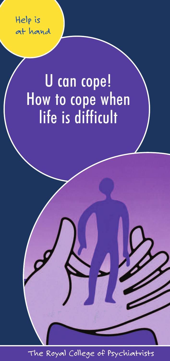*Help is at hand*

# U can cope! How to cope when life is difficult

**1** *The Royal College of Psychiatrists*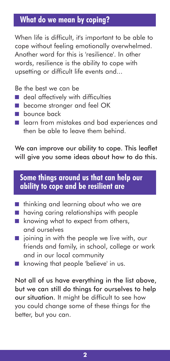# **What do we mean by coping?**

When life is difficult, it's important to be able to cope without feeling emotionally overwhelmed. Another word for this is 'resilience'. In other words, resilience is the ability to cope with upsetting or difficult life events and...

Be the best we can be

- deal affectively with difficulties
- become stronger and feel OK
- bounce back
- learn from mistakes and bad experiences and then be able to leave them behind.

We can improve our ability to cope. This leaflet will give you some ideas about how to do this.

# **Some things around us that can help our ability to cope and be resilient are**

- thinking and learning about who we are
- having caring relationships with people
- knowing what to expect from others, and ourselves
- joining in with the people we live with, our friends and family, in school, college or work and in our local community
- knowing that people 'believe' in us.

Not all of us have everything in the list above, but we can still do things for ourselves to help our situation. It might be difficult to see how you could change some of these things for the better, but you can.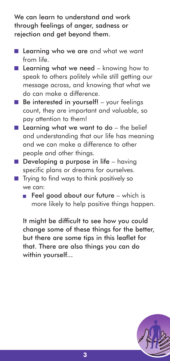We can learn to understand and work through feelings of anger, sadness or rejection and get beyond them.

- Learning who we are and what we want from life.
- Learning what we need knowing how to speak to others politely while still getting our message across, and knowing that what we do can make a difference.
- Be interested in yourself! your feelings count, they are important and valuable, so pay attention to them!
- Learning what we want to do the belief and understanding that our life has meaning and we can make a difference to other people and other things.
- $\blacksquare$  Developing a purpose in life having specific plans or dreams for ourselves.
- Trying to find ways to think positively so we can:
	- Feel good about our future which is more likely to help positive things happen.

It might be difficult to see how you could change some of these things for the better, but there are some tips in this leaflet for that. There are also things you can do within yourself...

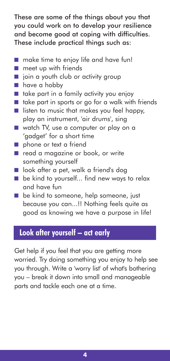These are some of the things about you that you could work on to develop your resilience and become good at coping with difficulties. These include practical things such as:

- make time to enjoy life and have fun!
- meet up with friends
- join a youth club or activity group
- have a hobby
- take part in a family activity you enjoy
- take part in sports or go for a walk with friends
- listen to music that makes you feel happy, play an instrument, 'air drums', sing
- watch TV, use a computer or play on a 'gadget' for a short time
- phone or text a friend
- read a magazine or book, or write something yourself
- look after a pet, walk a friend's dog
- be kind to yourself... find new ways to relax and have fun
- be kind to someone, help someone, just because you can...!! Nothing feels quite as good as knowing we have a purpose in life!

# **Look after yourself – act early**

Get help if you feel that you are getting more worried. Try doing something you enjoy to help see you through. Write a 'worry list' of what's bothering you – break it down into small and manageable parts and tackle each one at a time.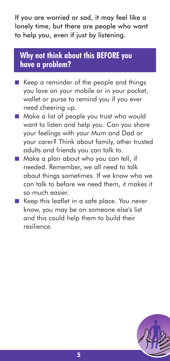If you are worried or sad, it may feel like a lonely time, but there are people who want to help you, even if just by listening.

# **Why not think about this BEFORE you have a problem?**

- Keep a reminder of the people and things you love on your mobile or in your pocket, wallet or purse to remind you if you ever need cheering up.
- Make a list of people you trust who would want to listen and help you. Can you share your feelings with your Mum and Dad or your carer? Think about family, other trusted adults and friends you can talk to.
- Make a plan about who you can tell, if needed. Remember, we all need to talk about things sometimes. If we know who we can talk to before we need them, it makes it so much easier.
- Keep this leaflet in a safe place. You never know, you may be on someone else's list and this could help them to build their resilience.

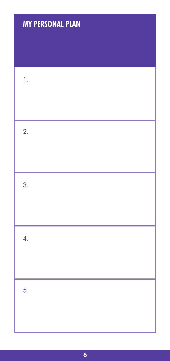# **MY PERSONAL PLAN**

| 1.               |  |
|------------------|--|
| 2.               |  |
| 3.               |  |
| $\overline{4}$ . |  |
| 5.               |  |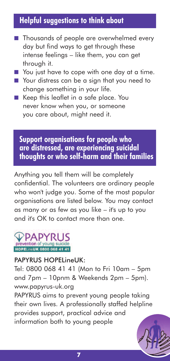# **Helpful suggestions to think about**

- Thousands of people are overwhelmed every day but find ways to get through these intense feelings – like them, you can get through it.
- You just have to cope with one day at a time.
- Your distress can be a sign that you need to change something in your life.
- Keep this leaflet in a safe place. You never know when you, or someone you care about, might need it.

#### **Support organisations for people who are distressed, are experiencing suicidal thoughts or who self-harm and their families**

Anything you tell them will be completely confidential. The volunteers are ordinary people who won't judge you. Some of the most popular organisations are listed below. You may contact as many or as few as you like – it's up to you and it's OK to contact more than one.



#### PAPYRUS HOPELineUK:

Tel: 0800 068 41 41 (Mon to Fri 10am – 5pm and 7pm – 10pnm & Weekends 2pm – 5pm). www.papyrus-uk.org

PAPYRUS aims to prevent young people taking their own lives. A professionally staffed helpline provides support, practical advice and information both to young people

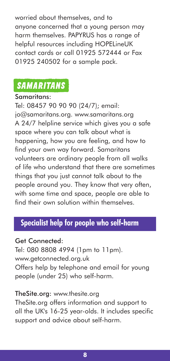worried about themselves, and to anyone concerned that a young person may harm themselves. PAPYRUS has a range of helpful resources including HOPELineUK contact cards or call 01925 572444 or Fax 01925 240502 for a sample pack.

# **SAMARITANS**

#### Samaritans:

Tel: 08457 90 90 90 (24/7); email: jo@samaritans.org. www.samaritans.org A 24/7 helpline service which gives you a safe space where you can talk about what is happening, how you are feeling, and how to find your own way forward. Samaritans volunteers are ordinary people from all walks of life who understand that there are sometimes things that you just cannot talk about to the people around you. They know that very often, with some time and space, people are able to find their own solution within themselves

# **Specialist help for people who self-harm**

#### Get Connected:

Tel: 080 8808 4994 (1pm to 11pm). www.getconnected.org.uk Offers help by telephone and email for young people (under 25) who self-harm.

#### TheSite.org: www.thesite.org

TheSite.org offers information and support to all the UK's 16-25 year-olds. It includes specific support and advice about self-harm.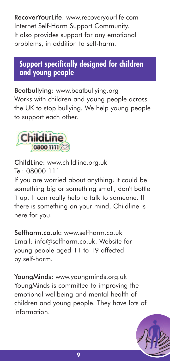RecoverYourLife: www.recoveryourlife.com Internet Self-Harm Support Community. It also provides support for any emotional problems, in addition to self-harm.

# **Support specifically designed for children and young people**

Beatbullying: www.beatbullying.org Works with children and young people across the UK to stop bullying. We help young people to support each other.



ChildLine: www.childline.org.uk Tel: 08000 111

If you are worried about anything, it could be something big or something small, don't bottle it up. It can really help to talk to someone. If there is something on your mind, Childline is here for you.

Selfharm.co.uk: www.selfharm.co.uk Email: info@selfharm.co.uk. Website for young people aged 11 to 19 affected by self-harm.

YoungMinds: www.youngminds.org.uk YoungMinds is committed to improving the emotional wellbeing and mental health of children and young people. They have lots of information.

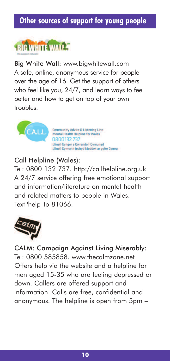# **Other sources of support for young people**



Big White Wall: www.bigwhitewall.com A safe, online, anonymous service for people over the age of 16. Get the support of others who feel like you, 24/7, and learn ways to feel better and how to get on top of your own troubles.



#### Call Helpline (Wales):

Tel: 0800 132 737. http://callhelpline.org.uk A 24/7 service offering free emotional support and information/literature on mental health and related matters to people in Wales. Text 'help' to 81066.



CALM: Campaign Against Living Miserably: Tel: 0800 585858. www.thecalmzone.net Offers help via the website and a helpline for men aged 15-35 who are feeling depressed or down. Callers are offered support and information. Calls are free, confidential and anonymous. The helpline is open from 5pm –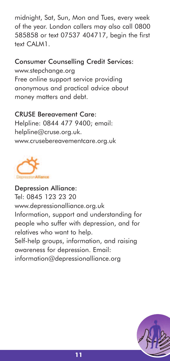midnight, Sat, Sun, Mon and Tues, every week of the year. London callers may also call 0800 585858 or text 07537 404717, begin the first text CALM1.

#### Consumer Counselling Credit Services:

www.stepchange.org Free online support service providing anonymous and practical advice about money matters and debt.

#### CRUSE Bereavement Care:

Helpline: 0844 477 9400; email: helpline@cruse.org.uk. www.crusebereavementcare.org.uk



#### Depression Alliance: Tel: 0845 123 23 20 www.depressionalliance.org.uk Information, support and understanding for people who suffer with depression, and for relatives who want to help. Self-help groups, information, and raising awareness for depression. Email: information@depressionalliance.org

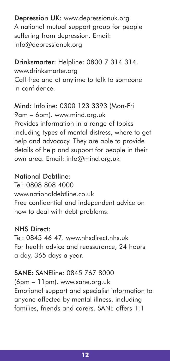Depression UK: www.depressionuk.org A national mutual support group for people suffering from depression. Email: info@depressionuk.org

Drinksmarter: Helpline: 0800 7 314 314. www.drinksmarter.org Call free and at anytime to talk to someone in confidence.

Mind: Infoline: 0300 123 3393 (Mon-Fri 9am – 6pm). www.mind.org.uk Provides information in a range of topics including types of mental distress, where to get help and advocacy. They are able to provide details of help and support for people in their own area. Email: info@mind.org.uk

#### National Debtline:

Tel: 0808 808 4000 www.nationaldebtline.co.uk Free confidential and independent advice on how to deal with debt problems.

#### NHS Direct:

Tel: 0845 46 47. www.nhsdirect.nhs.uk For health advice and reassurance, 24 hours a day, 365 days a year.

# SANE: SANEline: 0845 767 8000

(6pm – 11pm). www.sane.org.uk Emotional support and specialist information to anyone affected by mental illness, including families, friends and carers. SANE offers 1:1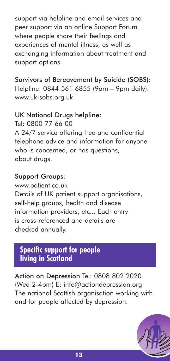support via helpline and email services and peer support via an online Support Forum where people share their feelings and experiences of mental illness, as well as exchanging information about treatment and support options.

Survivors of Bereavement by Suicide (SOBS): Helpline: 0844 561 6855 (9am – 9pm daily). www.uk-sobs.org.uk

#### UK National Drugs helpline:

Tel: 0800 77 66 00 A 24/7 service offering free and confidential telephone advice and information for anyone who is concerned, or has questions, about drugs.

#### Support Groups:

www.patient.co.uk Details of UK patient support organisations, self-help groups, health and disease information providers, etc... Each entry is cross-referenced and details are checked annually.

# **Specific support for people living in Scotland**

Action on Depression Tel: 0808 802 2020 (Wed 2-4pm) E: info@actiondepression.org The national Scottish organisation working with and for people affected by depression.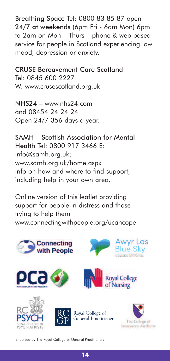Breathing Space Tel: 0800 83 85 87 open 24/7 at weekends (6pm Fri - 6am Mon) 6pm to 2am on Mon – Thurs – phone & web based service for people in Scotland experiencing low mood, depression or anxiety.

CRUSE Bereavement Care Scotland Tel: 0845 600 2227 W: www.crusescotland.org.uk

 $NHS24 -$ www.nhs24.com and 08454 24 24 24 Open 24/7 356 days a year.

SAMH – Scottish Association for Mental Health Tel: 0800 917 3466 E: info@samh.org.uk; www.samh.org.uk/home.aspx Info on how and where to find support, including help in your own area.

Online version of this leaflet providing support for people in distress and those trying to help them www.connectingwithpeople.org/ucancope



Endorsed by The Royal College of General Practitioners